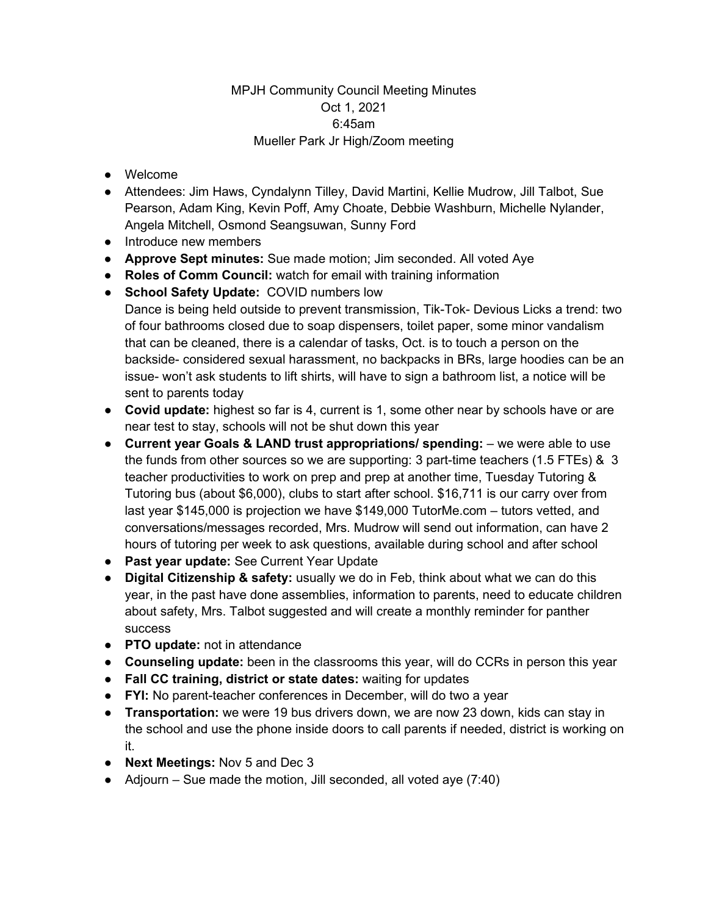## MPJH Community Council Meeting Minutes Oct 1, 2021 6:45am Mueller Park Jr High/Zoom meeting

- Welcome
- Attendees: Jim Haws, Cyndalynn Tilley, David Martini, Kellie Mudrow, Jill Talbot, Sue Pearson, Adam King, Kevin Poff, Amy Choate, Debbie Washburn, Michelle Nylander, Angela Mitchell, Osmond Seangsuwan, Sunny Ford
- Introduce new members
- **Approve Sept minutes:** Sue made motion; Jim seconded. All voted Aye
- **Roles of Comm Council:** watch for email with training information
- **School Safety Update:** COVID numbers low Dance is being held outside to prevent transmission, Tik-Tok- Devious Licks a trend: two of four bathrooms closed due to soap dispensers, toilet paper, some minor vandalism that can be cleaned, there is a calendar of tasks, Oct. is to touch a person on the backside- considered sexual harassment, no backpacks in BRs, large hoodies can be an issue- won't ask students to lift shirts, will have to sign a bathroom list, a notice will be sent to parents today
- **Covid update:** highest so far is 4, current is 1, some other near by schools have or are near test to stay, schools will not be shut down this year
- **Current year Goals & LAND trust appropriations/ spending:** we were able to use the funds from other sources so we are supporting: 3 part-time teachers (1.5 FTEs) & 3 teacher productivities to work on prep and prep at another time, Tuesday Tutoring & Tutoring bus (about \$6,000), clubs to start after school. \$16,711 is our carry over from last year \$145,000 is projection we have \$149,000 TutorMe.com – tutors vetted, and conversations/messages recorded, Mrs. Mudrow will send out information, can have 2 hours of tutoring per week to ask questions, available during school and after school
- **Past year update:** See Current Year Update
- **Digital Citizenship & safety:** usually we do in Feb, think about what we can do this year, in the past have done assemblies, information to parents, need to educate children about safety, Mrs. Talbot suggested and will create a monthly reminder for panther success
- **PTO update:** not in attendance
- **Counseling update:** been in the classrooms this year, will do CCRs in person this year
- **Fall CC training, district or state dates:** waiting for updates
- **FYI:** No parent-teacher conferences in December, will do two a year
- **Transportation:** we were 19 bus drivers down, we are now 23 down, kids can stay in the school and use the phone inside doors to call parents if needed, district is working on it.
- **Next Meetings:** Nov 5 and Dec 3
- $\bullet$  Adjourn Sue made the motion, Jill seconded, all voted aye (7:40)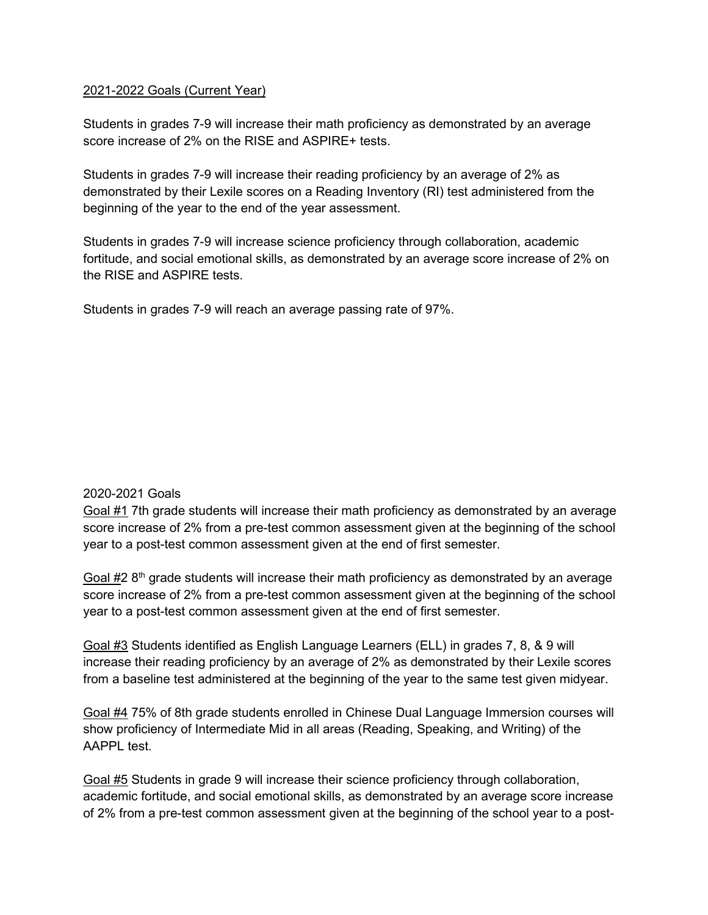## 2021-2022 Goals (Current Year)

Students in grades 7-9 will increase their math proficiency as demonstrated by an average score increase of 2% on the RISE and ASPIRE+ tests.

Students in grades 7-9 will increase their reading proficiency by an average of 2% as demonstrated by their Lexile scores on a Reading Inventory (RI) test administered from the beginning of the year to the end of the year assessment.

Students in grades 7-9 will increase science proficiency through collaboration, academic fortitude, and social emotional skills, as demonstrated by an average score increase of 2% on the RISE and ASPIRE tests.

Students in grades 7-9 will reach an average passing rate of 97%.

## 2020-2021 Goals

Goal #1 7th grade students will increase their math proficiency as demonstrated by an average score increase of 2% from a pre-test common assessment given at the beginning of the school year to a post-test common assessment given at the end of first semester.

Goal  $#2 8<sup>th</sup>$  grade students will increase their math proficiency as demonstrated by an average score increase of 2% from a pre-test common assessment given at the beginning of the school year to a post-test common assessment given at the end of first semester.

Goal #3 Students identified as English Language Learners (ELL) in grades 7, 8, & 9 will increase their reading proficiency by an average of 2% as demonstrated by their Lexile scores from a baseline test administered at the beginning of the year to the same test given midyear.

Goal #4 75% of 8th grade students enrolled in Chinese Dual Language Immersion courses will show proficiency of Intermediate Mid in all areas (Reading, Speaking, and Writing) of the AAPPL test.

Goal #5 Students in grade 9 will increase their science proficiency through collaboration, academic fortitude, and social emotional skills, as demonstrated by an average score increase of 2% from a pre-test common assessment given at the beginning of the school year to a post